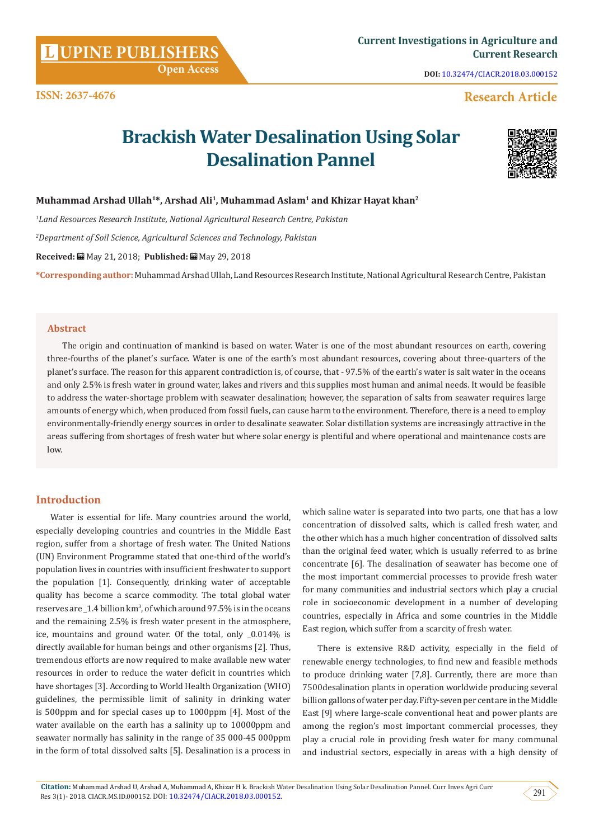**Citation:** Muhammad Arshad U, Arshad A, Muhammad A, Khizar H k. Brackish Water Desalination Using Solar Desalination Pannel. Curr Inves Agri Curr Res 3(1)- 2018. CIACR.MS.ID.000152. DOI: [10.32474/CIACR.2018.03.000152](http://dx.doi.org/10.32474/CIACR.2018.03.000152
). 2018. 2018. 2018. CIACR.MS.ID.000152. 201

## **Introduction**

Water is essential for life. Many countries around the world, especially developing countries and countries in the Middle East region, suffer from a shortage of fresh water. The United Nations (UN) Environment Programme stated that one-third of the world's population lives in countries with insufficient freshwater to support the population [1]. Consequently, drinking water of acceptable quality has become a scarce commodity. The total global water reserves are  $\text{\_1.4}$  billion km<sup>3</sup>, of which around 97.5% is in the oceans and the remaining 2.5% is fresh water present in the atmosphere, ice, mountains and ground water. Of the total, only \_0.014% is directly available for human beings and other organisms [2]. Thus, tremendous efforts are now required to make available new water resources in order to reduce the water deficit in countries which have shortages [3]. According to World Health Organization (WHO) guidelines, the permissible limit of salinity in drinking water is 500ppm and for special cases up to 1000ppm [4]. Most of the water available on the earth has a salinity up to 10000ppm and seawater normally has salinity in the range of 35 000-45 000ppm in the form of total dissolved salts [5]. Desalination is a process in

which saline water is separated into two parts, one that has a low concentration of dissolved salts, which is called fresh water, and the other which has a much higher concentration of dissolved salts than the original feed water, which is usually referred to as brine concentrate [6]. The desalination of seawater has become one of the most important commercial processes to provide fresh water for many communities and industrial sectors which play a crucial role in socioeconomic development in a number of developing countries, especially in Africa and some countries in the Middle East region, which suffer from a scarcity of fresh water.

There is extensive R&D activity, especially in the field of renewable energy technologies, to find new and feasible methods to produce drinking water [7,8]. Currently, there are more than 7500desalination plants in operation worldwide producing several billion gallons of water per day. Fifty-seven per cent are in the Middle East [9] where large-scale conventional heat and power plants are among the region's most important commercial processes, they play a crucial role in providing fresh water for many communal and industrial sectors, especially in areas with a high density of

# **Muhammad Arshad Ullah1\*, Arshad Ali1, Muhammad Aslam1 and Khizar Hayat khan2**

*1 Land Resources Research Institute, National Agricultural Research Centre, Pakistan*

 **Open Access**

*2 Department of Soil Science, Agricultural Sciences and Technology, Pakistan*

**Received:** May 21, 2018; **Published:** May 29, 2018

**\*Corresponding author:** Muhammad Arshad Ullah, Land Resources Research Institute, National Agricultural Research Centre, Pakistan

**Brackish Water Desalination Using Solar** 

**Desalination Pannel**

### **Abstract**

The origin and continuation of mankind is based on water. Water is one of the most abundant resources on earth, covering three-fourths of the planet's surface. Water is one of the earth's most abundant resources, covering about three-quarters of the planet's surface. The reason for this apparent contradiction is, of course, that - 97.5% of the earth's water is salt water in the oceans and only 2.5% is fresh water in ground water, lakes and rivers and this supplies most human and animal needs. It would be feasible to address the water-shortage problem with seawater desalination; however, the separation of salts from seawater requires large amounts of energy which, when produced from fossil fuels, can cause harm to the environment. Therefore, there is a need to employ environmentally-friendly energy sources in order to desalinate seawater. Solar distillation systems are increasingly attractive in the areas suffering from shortages of fresh water but where solar energy is plentiful and where operational and maintenance costs are low.

# **UPINE PUBLISHERS**

**ISSN: 2637-4676**

**DOI:** [10.32474/CIACR.2018.03.000152](http://dx.doi.org/10.32474/CIACR.2018.03.000152)

 **Research Article** 



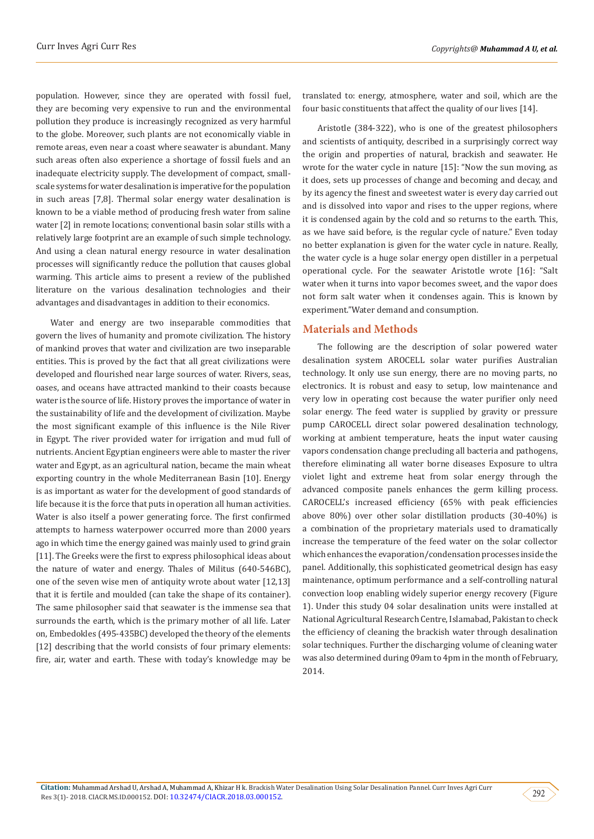population. However, since they are operated with fossil fuel, they are becoming very expensive to run and the environmental pollution they produce is increasingly recognized as very harmful to the globe. Moreover, such plants are not economically viable in remote areas, even near a coast where seawater is abundant. Many such areas often also experience a shortage of fossil fuels and an inadequate electricity supply. The development of compact, smallscale systems for water desalination is imperative for the population in such areas [7,8]. Thermal solar energy water desalination is known to be a viable method of producing fresh water from saline water [2] in remote locations; conventional basin solar stills with a relatively large footprint are an example of such simple technology. And using a clean natural energy resource in water desalination processes will significantly reduce the pollution that causes global warming. This article aims to present a review of the published literature on the various desalination technologies and their advantages and disadvantages in addition to their economics.

Water and energy are two inseparable commodities that govern the lives of humanity and promote civilization. The history of mankind proves that water and civilization are two inseparable entities. This is proved by the fact that all great civilizations were developed and flourished near large sources of water. Rivers, seas, oases, and oceans have attracted mankind to their coasts because water is the source of life. History proves the importance of water in the sustainability of life and the development of civilization. Maybe the most significant example of this influence is the Nile River in Egypt. The river provided water for irrigation and mud full of nutrients. Ancient Egyptian engineers were able to master the river water and Egypt, as an agricultural nation, became the main wheat exporting country in the whole Mediterranean Basin [10]. Energy is as important as water for the development of good standards of life because it is the force that puts in operation all human activities. Water is also itself a power generating force. The first confirmed attempts to harness waterpower occurred more than 2000 years ago in which time the energy gained was mainly used to grind grain [11]. The Greeks were the first to express philosophical ideas about the nature of water and energy. Thales of Militus (640-546BC), one of the seven wise men of antiquity wrote about water [12,13] that it is fertile and moulded (can take the shape of its container). The same philosopher said that seawater is the immense sea that surrounds the earth, which is the primary mother of all life. Later on, Embedokles (495-435BC) developed the theory of the elements [12] describing that the world consists of four primary elements: fire, air, water and earth. These with today's knowledge may be

translated to: energy, atmosphere, water and soil, which are the four basic constituents that affect the quality of our lives [14].

Aristotle (384-322), who is one of the greatest philosophers and scientists of antiquity, described in a surprisingly correct way the origin and properties of natural, brackish and seawater. He wrote for the water cycle in nature [15]: "Now the sun moving, as it does, sets up processes of change and becoming and decay, and by its agency the finest and sweetest water is every day carried out and is dissolved into vapor and rises to the upper regions, where it is condensed again by the cold and so returns to the earth. This, as we have said before, is the regular cycle of nature." Even today no better explanation is given for the water cycle in nature. Really, the water cycle is a huge solar energy open distiller in a perpetual operational cycle. For the seawater Aristotle wrote [16]: "Salt water when it turns into vapor becomes sweet, and the vapor does not form salt water when it condenses again. This is known by experiment."Water demand and consumption.

#### **Materials and Methods**

The following are the description of solar powered water desalination system AROCELL solar water purifies Australian technology. It only use sun energy, there are no moving parts, no electronics. It is robust and easy to setup, low maintenance and very low in operating cost because the water purifier only need solar energy. The feed water is supplied by gravity or pressure pump CAROCELL direct solar powered desalination technology, working at ambient temperature, heats the input water causing vapors condensation change precluding all bacteria and pathogens, therefore eliminating all water borne diseases Exposure to ultra violet light and extreme heat from solar energy through the advanced composite panels enhances the germ killing process. CAROCELL's increased efficiency (65% with peak efficiencies above 80%) over other solar distillation products (30-40%) is a combination of the proprietary materials used to dramatically increase the temperature of the feed water on the solar collector which enhances the evaporation/condensation processes inside the panel. Additionally, this sophisticated geometrical design has easy maintenance, optimum performance and a self-controlling natural convection loop enabling widely superior energy recovery (Figure 1). Under this study 04 solar desalination units were installed at National Agricultural Research Centre, Islamabad, Pakistan to check the efficiency of cleaning the brackish water through desalination solar techniques. Further the discharging volume of cleaning water was also determined during 09am to 4pm in the month of February, 2014.

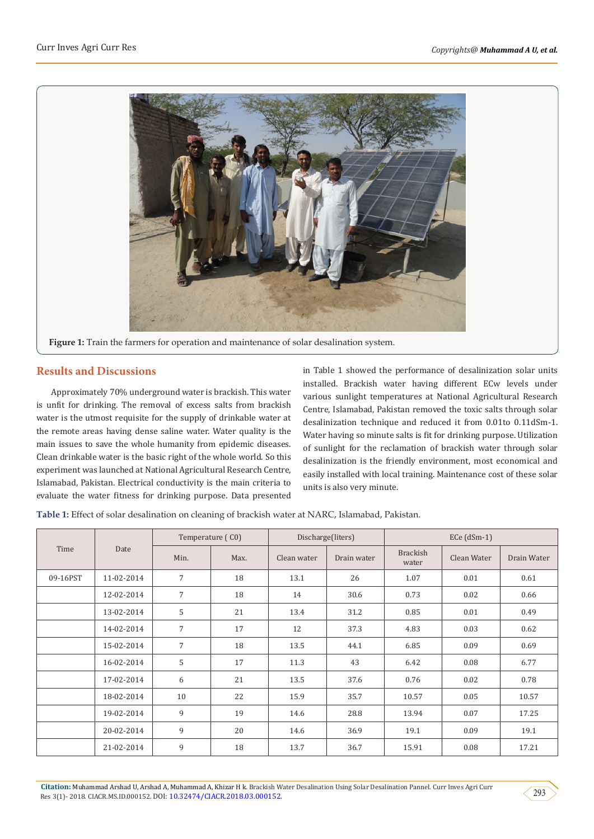

#### **Results and Discussions**

Approximately 70% underground water is brackish. This water is unfit for drinking. The removal of excess salts from brackish water is the utmost requisite for the supply of drinkable water at the remote areas having dense saline water. Water quality is the main issues to save the whole humanity from epidemic diseases. Clean drinkable water is the basic right of the whole world. So this experiment was launched at National Agricultural Research Centre, Islamabad, Pakistan. Electrical conductivity is the main criteria to evaluate the water fitness for drinking purpose. Data presented

in Table 1 showed the performance of desalinization solar units installed. Brackish water having different ECw levels under various sunlight temperatures at National Agricultural Research Centre, Islamabad, Pakistan removed the toxic salts through solar desalinization technique and reduced it from 0.01to 0.11dSm-1. Water having so minute salts is fit for drinking purpose. Utilization of sunlight for the reclamation of brackish water through solar desalinization is the friendly environment, most economical and easily installed with local training. Maintenance cost of these solar units is also very minute.

**Table 1:** Effect of solar desalination on cleaning of brackish water at NARC, Islamabad, Pakistan.

| Time     | Date       | Temperature (C0) |      | Discharge(liters) |             | $ECe$ (dSm-1)            |             |             |
|----------|------------|------------------|------|-------------------|-------------|--------------------------|-------------|-------------|
|          |            | Min.             | Max. | Clean water       | Drain water | <b>Brackish</b><br>water | Clean Water | Drain Water |
| 09-16PST | 11-02-2014 | $7\overline{ }$  | 18   | 13.1              | 26          | 1.07                     | 0.01        | 0.61        |
|          | 12-02-2014 | $\overline{7}$   | 18   | 14                | 30.6        | 0.73                     | 0.02        | 0.66        |
|          | 13-02-2014 | 5                | 21   | 13.4              | 31.2        | 0.85                     | 0.01        | 0.49        |
|          | 14-02-2014 | $\overline{7}$   | 17   | 12                | 37.3        | 4.83                     | 0.03        | 0.62        |
|          | 15-02-2014 | $\overline{7}$   | 18   | 13.5              | 44.1        | 6.85                     | 0.09        | 0.69        |
|          | 16-02-2014 | 5                | 17   | 11.3              | 43          | 6.42                     | 0.08        | 6.77        |
|          | 17-02-2014 | 6                | 21   | 13.5              | 37.6        | 0.76                     | 0.02        | 0.78        |
|          | 18-02-2014 | 10               | 22   | 15.9              | 35.7        | 10.57                    | 0.05        | 10.57       |
|          | 19-02-2014 | 9                | 19   | 14.6              | 28.8        | 13.94                    | 0.07        | 17.25       |
|          | 20-02-2014 | 9                | 20   | 14.6              | 36.9        | 19.1                     | 0.09        | 19.1        |
|          | 21-02-2014 | 9                | 18   | 13.7              | 36.7        | 15.91                    | 0.08        | 17.21       |

**Citation:** Muhammad Arshad U, Arshad A, Muhammad A, Khizar H k. Brackish Water Desalination Using Solar Desalination Pannel. Curr Inves Agri Curr Res 3(1)- 2018. CIACR.MS.ID.000152. DOI: [10.32474/CIACR.2018.03.000152](http://dx.doi.org/10.32474/CIACR.2018.03.000152
). 203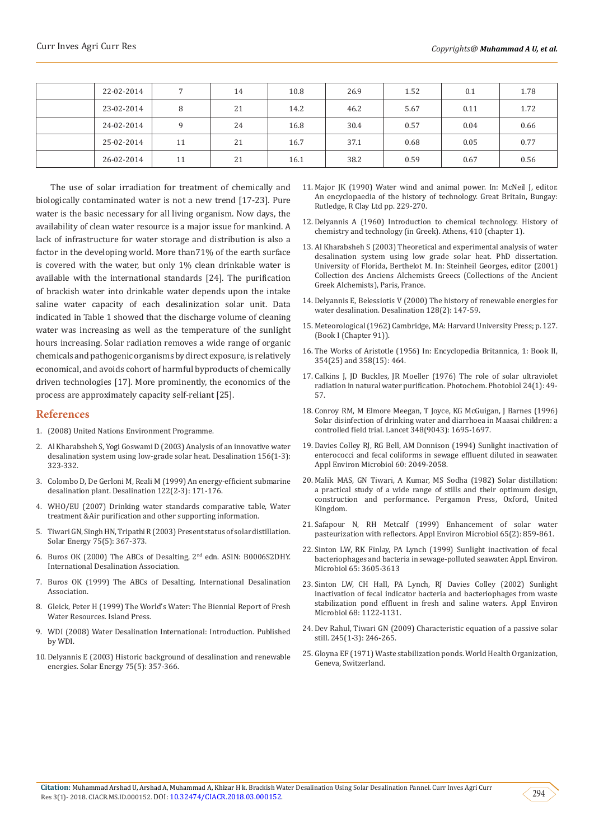| 22-02-2014 |    | 14 | 10.8 | 26.9 | 1.52 | 0.1  | 1.78 |
|------------|----|----|------|------|------|------|------|
| 23-02-2014 | 8  | 21 | 14.2 | 46.2 | 5.67 | 0.11 | 1.72 |
| 24-02-2014 | q  | 24 | 16.8 | 30.4 | 0.57 | 0.04 | 0.66 |
| 25-02-2014 | 11 | 21 | 16.7 | 37.1 | 0.68 | 0.05 | 0.77 |
| 26-02-2014 | 11 | 21 | 16.1 | 38.2 | 0.59 | 0.67 | 0.56 |

The use of solar irradiation for treatment of chemically and biologically contaminated water is not a new trend [17-23]. Pure water is the basic necessary for all living organism. Now days, the availability of clean water resource is a major issue for mankind. A lack of infrastructure for water storage and distribution is also a factor in the developing world. More than71% of the earth surface is covered with the water, but only 1% clean drinkable water is available with the international standards [24]. The purification of brackish water into drinkable water depends upon the intake saline water capacity of each desalinization solar unit. Data indicated in Table 1 showed that the discharge volume of cleaning water was increasing as well as the temperature of the sunlight hours increasing. Solar radiation removes a wide range of organic chemicals and pathogenic organisms by direct exposure, is relatively economical, and avoids cohort of harmful byproducts of chemically driven technologies [17]. More prominently, the economics of the process are approximately capacity self-reliant [25].

#### **References**

- 1. (2008) United Nations Environment Programme.
- 2. [Al Kharabsheh S, Yogi Goswami D \(2003\) Analysis of an innovative water](https://www.sciencedirect.com/science/article/pii/S0011916403003631)  [desalination system using low-grade solar heat. Desalination 156\(1-3\):](https://www.sciencedirect.com/science/article/pii/S0011916403003631)  [323-332.](https://www.sciencedirect.com/science/article/pii/S0011916403003631)
- 3. [Colombo D, De Gerloni M, Reali M \(1999\) An energy-efficient submarine](https://www.sciencedirect.com/science/article/pii/S0011916499000387)  [desalination plant. Desalination 122\(2-3\): 171-176.](https://www.sciencedirect.com/science/article/pii/S0011916499000387)
- 4. WHO/EU (2007) Drinking water standards comparative table, Water treatment &Air purification and other supporting information.
- 5. [Tiwari GN, Singh HN, Tripathi R \(2003\) Present status of solar distillation.](https://www.sciencedirect.com/science/article/pii/S0038092X0300255X)  [Solar Energy 75\(5\): 367-373.](https://www.sciencedirect.com/science/article/pii/S0038092X0300255X)
- 6. [Buros OK \(2000\) The ABCs of Desalting, 2nd edn. ASIN: B0006S2DHY.](http://www.scirp.org/(S(351jmbntvnsjt1aadkposzje))/reference/ReferencesPapers.aspx?ReferenceID=962468)  [International Desalination Association.](http://www.scirp.org/(S(351jmbntvnsjt1aadkposzje))/reference/ReferencesPapers.aspx?ReferenceID=962468)
- 7. [Buros OK \(1999\) The ABCs of Desalting. International Desalination](https://www.water.ca.gov/LegacyFiles/pubs/surfacewater/abcs_of_desalting/abcs_of_desalting.pdf)  [Association.](https://www.water.ca.gov/LegacyFiles/pubs/surfacewater/abcs_of_desalting/abcs_of_desalting.pdf)
- 8. Gleick, Peter H (1999) The World's Water: The Biennial Report of Fresh Water Resources. Island Press.
- 9. WDI (2008) Water Desalination International: Introduction. Published by WDI.
- 10. [Delyannis E \(2003\) Historic background of desalination and renewable](https://www.sciencedirect.com/science/article/pii/S0038092X03002779)  [energies. Solar Energy 75\(5\): 357-366.](https://www.sciencedirect.com/science/article/pii/S0038092X03002779)
- 11. Major JK (1990) Water wind and animal power. In: McNeil J, editor. An encyclopaedia of the history of technology. Great Britain, Bungay: Rutledge, R Clay Ltd pp. 229-270.
- 12. Delyannis A (1960) Introduction to chemical technology. History of chemistry and technology (in Greek). Athens, 410 (chapter 1).
- 13. Al Kharabsheh S (2003) Theoretical and experimental analysis of water desalination system using low grade solar heat. PhD dissertation. University of Florida, Berthelot M. In: Steinheil Georges, editor (2001) Collection des Anciens Alchemists Greecs (Collections of the Ancient Greek Alchemists), Paris, France.
- 14. [Delyannis E, Belessiotis V \(2000\) The history of renewable energies for](https://www.sciencedirect.com/science/article/pii/S0011916400000308) [water desalination. Desalination 128\(2\): 147-59.](https://www.sciencedirect.com/science/article/pii/S0011916400000308)
- 15. Meteorological (1962) Cambridge, MA: Harvard University Press; p. 127. (Book I (Chapter 91)).
- 16. The Works of Aristotle (1956) In: Encyclopedia Britannica, 1: Book II, 354(25) and 358(15): 464.
- 17. [Calkins J, JD Buckles, JR Moeller \(1976\) The role of solar ultraviolet](https://www.ncbi.nlm.nih.gov/pubmed/788009) [radiation in natural water purification. Photochem. Photobiol 24\(1\): 49-](https://www.ncbi.nlm.nih.gov/pubmed/788009) [57.](https://www.ncbi.nlm.nih.gov/pubmed/788009)
- 18. [Conroy RM, M Elmore Meegan, T Joyce, KG McGuigan, J Barnes \(1996\)](https://www.sciencedirect.com/science/article/pii/S0140673696023094) [Solar disinfection of drinking water and diarrhoea in Maasai children: a](https://www.sciencedirect.com/science/article/pii/S0140673696023094) [controlled field trial. Lancet 348\(9043\): 1695-1697.](https://www.sciencedirect.com/science/article/pii/S0140673696023094)
- 19. [Davies Colley RJ, RG Bell, AM Donnison \(1994\) Sunlight inactivation of](https://www.semanticscholar.org/paper/Sunlight-inactivation-of-enterococci-and-fecal-in-Davies-Colley-Bell/a58e3dd722fe2b8ca9a6a9f73dd77d9338cdb8b2) [enterococci and fecal coliforms in sewage effluent diluted in seawater.](https://www.semanticscholar.org/paper/Sunlight-inactivation-of-enterococci-and-fecal-in-Davies-Colley-Bell/a58e3dd722fe2b8ca9a6a9f73dd77d9338cdb8b2) [Appl Environ Microbiol 60: 2049-2058.](https://www.semanticscholar.org/paper/Sunlight-inactivation-of-enterococci-and-fecal-in-Davies-Colley-Bell/a58e3dd722fe2b8ca9a6a9f73dd77d9338cdb8b2)
- 20. [Malik MAS, GN Tiwari, A Kumar, MS Sodha \(1982\) Solar distillation:](https://searchworks.stanford.edu/view/1023975) [a practical study of a wide range of stills and their optimum design,](https://searchworks.stanford.edu/view/1023975) [construction and performance. Pergamon Press, Oxford, United](https://searchworks.stanford.edu/view/1023975) [Kingdom.](https://searchworks.stanford.edu/view/1023975)
- 21. [Safapour N, RH Metcalf \(1999\) Enhancement of solar water](https://www.ncbi.nlm.nih.gov/pubmed/9925631) [pasteurization with reflectors. Appl Environ Microbiol 65\(2\): 859-861.](https://www.ncbi.nlm.nih.gov/pubmed/9925631)
- 22. Sinton LW, RK Finlay, PA Lynch (1999) Sunlight inactivation of fecal bacteriophages and bacteria in sewage-polluted seawater. Appl. Environ. Microbiol 65: 3605-3613
- 23. Sinton LW, CH Hall, PA Lynch, RJ Davies Colley (2002) Sunlight inactivation of fecal indicator bacteria and bacteriophages from waste stabilization pond effluent in fresh and saline waters. Appl Environ Microbiol 68: 1122-1131.
- 24. [Dev Rahul, Tiwari GN \(2009\) Characteristic equation of a passive solar](https://www.sciencedirect.com/science/article/pii/S0011916409003415) [still. 245\(1-3\): 246-265.](https://www.sciencedirect.com/science/article/pii/S0011916409003415)
- 25. [Gloyna EF \(1971\) Waste stabilization ponds. World Health Organization,](http://apps.who.int/iris/handle/10665/41786) [Geneva, Switzerland.](http://apps.who.int/iris/handle/10665/41786)